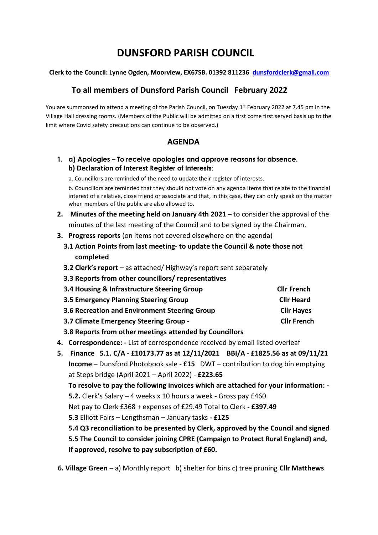# **DUNSFORD PARISH COUNCIL**

#### **Clerk to the Council: Lynne Ogden, Moorview, EX67SB. 01392 811236 [dunsfordclerk@gmail.com](mailto:dunsfordclerk@gmail.com)**

# **To all members of Dunsford Parish Council February 2022**

You are summonsed to attend a meeting of the Parish Council, on Tuesday 1<sup>st</sup> February 2022 at 7.45 pm in the Village Hall dressing rooms. (Members of the Public will be admitted on a first come first served basis up to the limit where Covid safety precautions can continue to be observed.)

## **AGENDA**

- **1. a) Apologies – To receive apologies and approve reasons for absence. b) Declaration of Interest Register of Interests**:
	- a. Councillors are reminded of the need to update their register of interests.

b. Councillors are reminded that they should not vote on any agenda items that relate to the financial interest of a relative, close friend or associate and that, in this case, they can only speak on the matter when members of the public are also allowed to.

- **2. Minutes of the meeting held on January 4th 2021** to consider the approval of the minutes of the last meeting of the Council and to be signed by the Chairman.
- **3. Progress reports** (on items not covered elsewhere on the agenda)
	- **3.1 Action Points from last meeting- to update the Council & note those not completed**
	- **3.2 Clerk's report –** as attached/ Highway's report sent separately
	- **3.3 Reports from other councillors/ representatives**

| 3.4 Housing & Infrastructure Steering Group   | <b>Clir French</b> |
|-----------------------------------------------|--------------------|
| 3.5 Emergency Planning Steering Group         | <b>Cllr Heard</b>  |
| 3.6 Recreation and Environment Steering Group | <b>Cllr Hayes</b>  |
| 3.7 Climate Emergency Steering Group -        | <b>Clir French</b> |

- **3.8 Reports from other meetings attended by Councillors**
- **4. Correspondence: -** List of correspondence received by email listed overleaf
- **5. Finance 5.1. C/A - £10173.77 as at 12/11/2021 BBI/A - £1825.56 as at 09/11/21 Income –** Dunsford Photobook sale - **£15** DWT – contribution to dog bin emptying at Steps bridge (April 2021 – April 2022) - **£223.65 To resolve to pay the following invoices which are attached for your information: - 5.2.** Clerk's Salary – 4 weeks x 10 hours a week - Gross pay £460 Net pay to Clerk £368 + expenses of £29.49 Total to Clerk **- £397.49 5.3** Elliott Fairs – Lengthsman – January tasks **- £125 5.4 Q3 reconciliation to be presented by Clerk, approved by the Council and signed 5.5 The Council to consider joining CPRE (Campaign to Protect Rural England) and, if approved, resolve to pay subscription of £60.**
- **6. Village Green**  a) Monthly report b) shelter for bins c) tree pruning **Cllr Matthews**